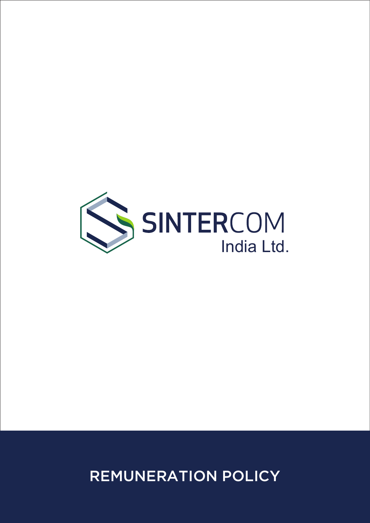

# REMUNERATION POLICY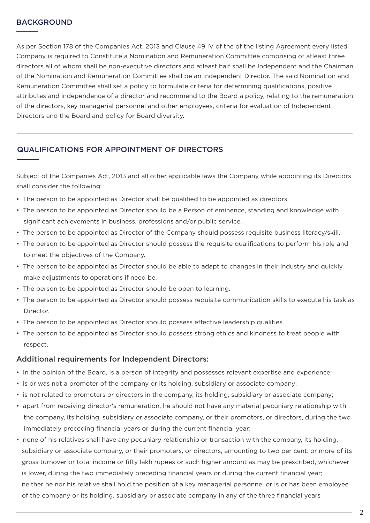#### BACKGROUND

As per Section 178 of the Companies Act, 2013 and Clause 49 IV of the of the listing Agreement every listed Company is required to Constitute a Nomination and Remuneration Committee comprising of atleast three directors all of whom shall be non-executive directors and atleast half shall be Independent and the Chairman of the Nomination and Remuneration Committee shall be an Independent Director. The said Nomination and Remuneration Committee shall set a policy to formulate criteria for determining qualifications, positive attributes and independence of a director and recommend to the Board a policy, relating to the remuneration of the directors, key managerial personnel and other employees, criteria for evaluation of Independent Directors and the Board and policy for Board diversity.

#### QUALIFICATIONS FOR APPOINTMENT OF DIRECTORS

Subject of the Companies Act, 2013 and all other applicable laws the Company while appointing its Directors shall consider the following:

- The person to be appointed as Director shall be qualified to be appointed as directors.
- The person to be appointed as Director should be a Person of eminence, standing and knowledge with significant achievements in business, professions and/or public service.
- The person to be appointed as Director of the Company should possess requisite business literacy/skill.
- The person to be appointed as Director should possess the requisite qualifications to perform his role and to meet the objectives of the Company.
- The person to be appointed as Director should be able to adapt to changes in their industry and quickly make adjustments to operations if need be.
- The person to be appointed as Director should be open to learning.
- The person to be appointed as Director should possess requisite communication skills to execute his task as Director.
- The person to be appointed as Director should possess effective leadership qualities.
- The person to be appointed as Director should possess strong ethics and kindness to treat people with respect.

#### Additional requirements for Independent Directors:

- In the opinion of the Board, is a person of integrity and possesses relevant expertise and experience;
- is or was not a promoter of the company or its holding, subsidiary or associate company;
- is not related to promoters or directors in the company, its holding, subsidiary or associate company;
- apart from receiving director's remuneration, he should not have any material pecuniary relationship with the company, its holding, subsidiary or associate company, or their promoters, or directors, during the two immediately preceding financial years or during the current financial year;
- none of his relatives shall have any pecuniary relationship or transaction with the company, its holding, subsidiary or associate company, or their promoters, or directors, amounting to two per cent. or more of its gross turnover or total income or fifty lakh rupees or such higher amount as may be prescribed, whichever is lower, during the two immediately preceding financial years or during the current financial year; neither he nor his relative shall hold the position of a key managerial personnel or is or has been employee of the company or its holding, subsidiary or associate company in any of the three financial years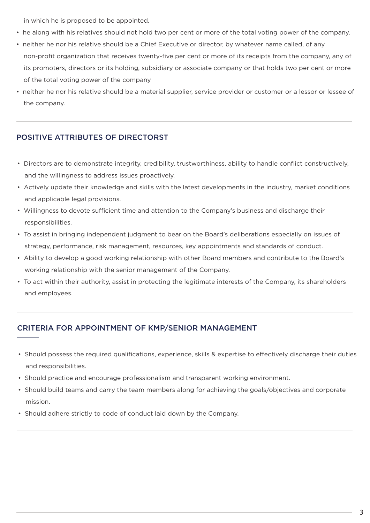in which he is proposed to be appointed.

- he along with his relatives should not hold two per cent or more of the total voting power of the company.
- neither he nor his relative should be a Chief Executive or director, by whatever name called, of any non-profit organization that receives twenty-five per cent or more of its receipts from the company, any of its promoters, directors or its holding, subsidiary or associate company or that holds two per cent or more of the total voting power of the company
- neither he nor his relative should be a material supplier, service provider or customer or a lessor or lessee of the company.

#### POSITIVE ATTRIBUTES OF DIRECTORST

- Directors are to demonstrate integrity, credibility, trustworthiness, ability to handle conflict constructively, and the willingness to address issues proactively.
- Actively update their knowledge and skills with the latest developments in the industry, market conditions and applicable legal provisions.
- Willingness to devote sufficient time and attention to the Company's business and discharge their responsibilities.
- To assist in bringing independent judgment to bear on the Board's deliberations especially on issues of strategy, performance, risk management, resources, key appointments and standards of conduct.
- Ability to develop a good working relationship with other Board members and contribute to the Board's working relationship with the senior management of the Company.
- To act within their authority, assist in protecting the legitimate interests of the Company, its shareholders and employees.

#### CRITERIA FOR APPOINTMENT OF KMP/SENIOR MANAGEMENT

- Should possess the required qualifications, experience, skills & expertise to effectively discharge their duties and responsibilities.
- Should practice and encourage professionalism and transparent working environment.
- Should build teams and carry the team members along for achieving the goals/objectives and corporate mission.
- Should adhere strictly to code of conduct laid down by the Company.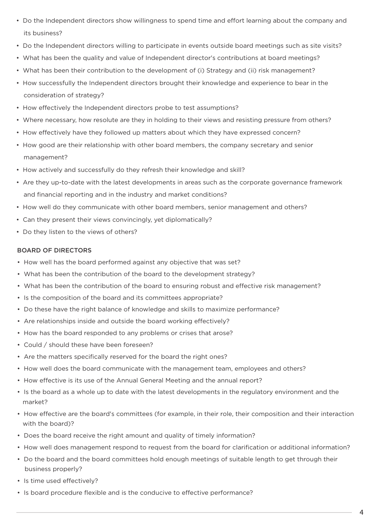- Do the Independent directors show willingness to spend time and effort learning about the company and its business?
- Do the Independent directors willing to participate in events outside board meetings such as site visits?
- What has been the quality and value of Independent director's contributions at board meetings?
- What has been their contribution to the development of (i) Strategy and (ii) risk management?
- How successfully the Independent directors brought their knowledge and experience to bear in the consideration of strategy?
- How effectively the Independent directors probe to test assumptions?
- Where necessary, how resolute are they in holding to their views and resisting pressure from others?
- How effectively have they followed up matters about which they have expressed concern?
- How good are their relationship with other board members, the company secretary and senior management?
- How actively and successfully do they refresh their knowledge and skill?
- Are they up-to-date with the latest developments in areas such as the corporate governance framework and financial reporting and in the industry and market conditions?
- How well do they communicate with other board members, senior management and others?
- Can they present their views convincingly, yet diplomatically?
- Do they listen to the views of others?

#### BOARD OF DIRECTORS

- How well has the board performed against any objective that was set?
- What has been the contribution of the board to the development strategy?
- What has been the contribution of the board to ensuring robust and effective risk management?
- Is the composition of the board and its committees appropriate?
- Do these have the right balance of knowledge and skills to maximize performance?
- Are relationships inside and outside the board working effectively?
- How has the board responded to any problems or crises that arose?
- Could / should these have been foreseen?
- Are the matters specifically reserved for the board the right ones?
- How well does the board communicate with the management team, employees and others?
- How effective is its use of the Annual General Meeting and the annual report?
- Is the board as a whole up to date with the latest developments in the regulatory environment and the market?
- How effective are the board's committees (for example, in their role, their composition and their interaction with the board)?
- Does the board receive the right amount and quality of timely information?
- How well does management respond to request from the board for clarification or additional information?
- Do the board and the board committees hold enough meetings of suitable length to get through their business properly?
- Is time used effectively?
- Is board procedure flexible and is the conducive to effective performance?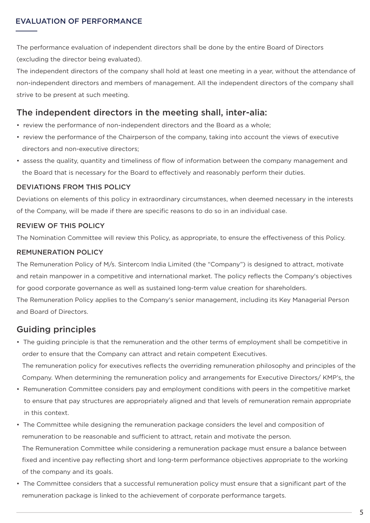#### EVALUATION OF PERFORMANCE

The performance evaluation of independent directors shall be done by the entire Board of Directors (excluding the director being evaluated).

The independent directors of the company shall hold at least one meeting in a year, without the attendance of non-independent directors and members of management. All the independent directors of the company shall strive to be present at such meeting.

## The independent directors in the meeting shall, inter-alia:

- review the performance of non-independent directors and the Board as a whole;
- review the performance of the Chairperson of the company, taking into account the views of executive directors and non-executive directors;
- assess the quality, quantity and timeliness of flow of information between the company management and the Board that is necessary for the Board to effectively and reasonably perform their duties.

#### DEVIATIONS FROM THIS POLICY

Deviations on elements of this policy in extraordinary circumstances, when deemed necessary in the interests of the Company, will be made if there are specific reasons to do so in an individual case.

#### REVIEW OF THIS POLICY

The Nomination Committee will review this Policy, as appropriate, to ensure the effectiveness of this Policy.

#### REMUNERATION POLICY

The Remuneration Policy of M/s. Sintercom India Limited (the "Company") is designed to attract, motivate and retain manpower in a competitive and international market. The policy reflects the Company's objectives for good corporate governance as well as sustained long-term value creation for shareholders.

The Remuneration Policy applies to the Company's senior management, including its Key Managerial Person and Board of Directors.

## Guiding principles

• The guiding principle is that the remuneration and the other terms of employment shall be competitive in order to ensure that the Company can attract and retain competent Executives.

 The remuneration policy for executives reflects the overriding remuneration philosophy and principles of the Company. When determining the remuneration policy and arrangements for Executive Directors/ KMP's, the

- Remuneration Committee considers pay and employment conditions with peers in the competitive market to ensure that pay structures are appropriately aligned and that levels of remuneration remain appropriate in this context.
- The Committee while designing the remuneration package considers the level and composition of remuneration to be reasonable and sufficient to attract, retain and motivate the person. The Remuneration Committee while considering a remuneration package must ensure a balance between fixed and incentive pay reflecting short and long-term performance objectives appropriate to the working of the company and its goals.
- The Committee considers that a successful remuneration policy must ensure that a significant part of the remuneration package is linked to the achievement of corporate performance targets.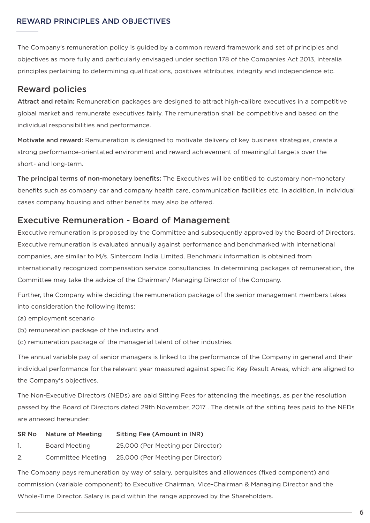#### REWARD PRINCIPLES AND OBJECTIVES

The Company's remuneration policy is guided by a common reward framework and set of principles and objectives as more fully and particularly envisaged under section 178 of the Companies Act 2013, interalia principles pertaining to determining qualifications, positives attributes, integrity and independence etc.

## Reward policies

Attract and retain: Remuneration packages are designed to attract high-calibre executives in a competitive global market and remunerate executives fairly. The remuneration shall be competitive and based on the individual responsibilities and performance.

Motivate and reward: Remuneration is designed to motivate delivery of key business strategies, create a strong performance-orientated environment and reward achievement of meaningful targets over the short- and long-term.

The principal terms of non-monetary benefits: The Executives will be entitled to customary non-monetary benefits such as company car and company health care, communication facilities etc. In addition, in individual cases company housing and other benefits may also be offered.

## Executive Remuneration - Board of Management

Executive remuneration is proposed by the Committee and subsequently approved by the Board of Directors. Executive remuneration is evaluated annually against performance and benchmarked with international companies, are similar to M/s. Sintercom India Limited. Benchmark information is obtained from internationally recognized compensation service consultancies. In determining packages of remuneration, the Committee may take the advice of the Chairman/ Managing Director of the Company.

Further, the Company while deciding the remuneration package of the senior management members takes into consideration the following items:

- (a) employment scenario
- (b) remuneration package of the industry and
- (c) remuneration package of the managerial talent of other industries.

The annual variable pay of senior managers is linked to the performance of the Company in general and their individual performance for the relevant year measured against specific Key Result Areas, which are aligned to the Company's objectives.

The Non-Executive Directors (NEDs) are paid Sitting Fees for attending the meetings, as per the resolution passed by the Board of Directors dated 29th November, 2017 . The details of the sitting fees paid to the NEDs are annexed hereunder:

| SR No | <b>Nature of Meeting</b> | <b>Sitting Fee (Amount in INR)</b> |
|-------|--------------------------|------------------------------------|
| Ί.    | Board Meeting            | 25,000 (Per Meeting per Director)  |
| 2.    | <b>Committee Meeting</b> | 25,000 (Per Meeting per Director)  |

The Company pays remuneration by way of salary, perquisites and allowances (fixed component) and commission (variable component) to Executive Chairman, Vice-Chairman & Managing Director and the Whole-Time Director. Salary is paid within the range approved by the Shareholders.